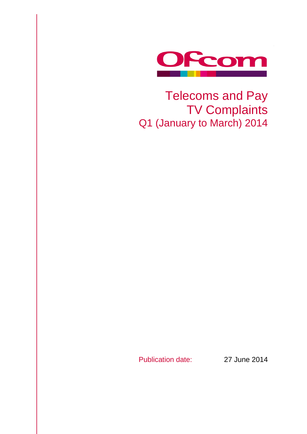

# Telecoms and Pay TV Complaints Q1 (January to March) 2014

Publication date: 27 June 2014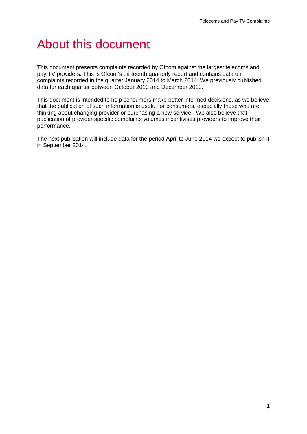# About this document

This document presents complaints recorded by Ofcom against the largest telecoms and pay TV providers. This is Ofcom's thirteenth quarterly report and contains data on complaints recorded in the quarter January 2014 to March 2014. We previously published data for each quarter between October 2010 and December 2013.

This document is intended to help consumers make better informed decisions, as we believe that the publication of such information is useful for consumers, especially those who are thinking about changing provider or purchasing a new service. We also believe that publication of provider specific complaints volumes incentivises providers to improve their performance.

The next publication will include data for the period April to June 2014 we expect to publish it in September 2014.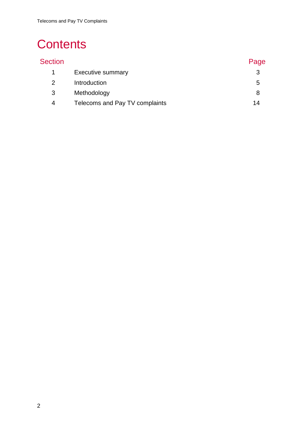# **Contents**

| <b>Section</b> |                                | Page |
|----------------|--------------------------------|------|
|                | <b>Executive summary</b>       |      |
|                | Introduction                   | 5    |
| 3              | Methodology                    | 8    |
| 4              | Telecoms and Pay TV complaints | 14   |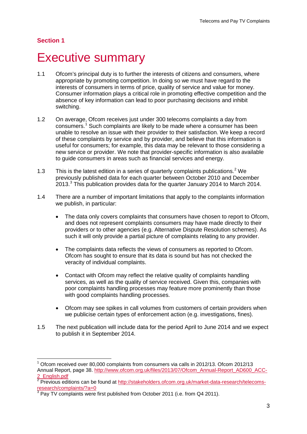$\overline{a}$ 

## <span id="page-3-0"></span>**Executive summary**

- 1.1 Ofcom's principal duty is to further the interests of citizens and consumers, where appropriate by promoting competition. In doing so we must have regard to the interests of consumers in terms of price, quality of service and value for money. Consumer information plays a critical role in promoting effective competition and the absence of key information can lead to poor purchasing decisions and inhibit switching.
- 1.2 On average, Ofcom receives just under 300 telecoms complaints a day from consumers.[1](#page-3-1) Such complaints are likely to be made where a consumer has been unable to resolve an issue with their provider to their satisfaction. We keep a record of these complaints by service and by provider, and believe that this information is useful for consumers; for example, this data may be relevant to those considering a new service or provider. We note that provider-specific information is also available to guide consumers in areas such as financial services and energy.
- 1.3 This is the latest edition in a series of quarterly complaints publications.<sup>[2](#page-3-2)</sup> We previously published data for each quarter between October 2010 and December  $2013.<sup>3</sup>$  $2013.<sup>3</sup>$  $2013.<sup>3</sup>$  This publication provides data for the quarter January 2014 to March 2014.
- 1.4 There are a number of important limitations that apply to the complaints information we publish, in particular:
	- The data only covers complaints that consumers have chosen to report to Ofcom, and does not represent complaints consumers may have made directly to their providers or to other agencies (e.g. Alternative Dispute Resolution schemes). As such it will only provide a partial picture of complaints relating to any provider.
	- The complaints data reflects the views of consumers as reported to Ofcom. Ofcom has sought to ensure that its data is sound but has not checked the veracity of individual complaints.
	- Contact with Ofcom may reflect the relative quality of complaints handling services, as well as the quality of service received. Given this, companies with poor complaints handling processes may feature more prominently than those with good complaints handling processes.
	- Ofcom may see spikes in call volumes from customers of certain providers when we publicise certain types of enforcement action (e.g. investigations, fines).
- 1.5 The next publication will include data for the period April to June 2014 and we expect to publish it in September 2014.

<span id="page-3-1"></span><sup>1</sup> Ofcom received over 80,000 complaints from consumers via calls in 2012/13. Ofcom 2012/13 Annual Report, page 38. [http://www.ofcom.org.uk/files/2013/07/Ofcom\\_Annual-Report\\_AD600\\_ACC-](http://www.ofcom.org.uk/files/2013/07/Ofcom_Annual-Report_AD600_ACC-2_English.pdf)[2\\_English.pdf](http://www.ofcom.org.uk/files/2013/07/Ofcom_Annual-Report_AD600_ACC-2_English.pdf)

<span id="page-3-2"></span><sup>&</sup>lt;sup>2</sup> Previous editions can be found at [http://stakeholders.ofcom.org.uk/market-data-research/telecoms](http://stakeholders.ofcom.org.uk/market-data-research/telecoms-research/complaints/?a=0)[research/complaints/?a=0](http://stakeholders.ofcom.org.uk/market-data-research/telecoms-research/complaints/?a=0)<br><sup>3</sup> Pay TV complaints were first published from October 2011 (i.e. from Q4 2011).

<span id="page-3-3"></span>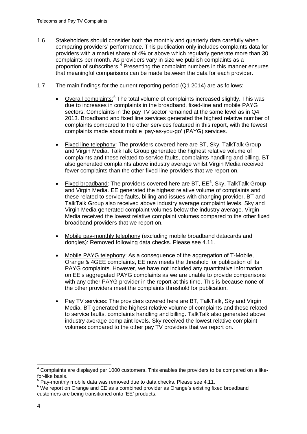- 1.6 Stakeholders should consider both the monthly and quarterly data carefully when comparing providers' performance. This publication only includes complaints data for providers with a market share of 4% or above which regularly generate more than 30 complaints per month. As providers vary in size we publish complaints as a proportion of subscribers.<sup>[4](#page-4-0)</sup> Presenting the complaint numbers in this manner ensures that meaningful comparisons can be made between the data for each provider.
- 1.7 The main findings for the current reporting period (Q1 2014) are as follows:
	- Overall complaints: $5$  The total volume of complaints increased slightly. This was due to increases in complaints in the broadband, fixed-line and mobile PAYG sectors. Complaints in the pay TV sector remained at the same level as in Q4 2013. Broadband and fixed line services generated the highest relative number of complaints compared to the other services featured in this report, with the fewest complaints made about mobile 'pay-as-you-go' (PAYG) services.
	- Fixed line telephony: The providers covered here are BT, Sky, TalkTalk Group and Virgin Media. TalkTalk Group generated the highest relative volume of complaints and these related to service faults, complaints handling and billing. BT also generated complaints above industry average whilst Virgin Media received fewer complaints than the other fixed line providers that we report on.
	- Fixed broadband: The providers covered here are BT,  $EE^6$  $EE^6$ , Sky, TalkTalk Group and Virgin Media. EE generated the highest relative volume of complaints and these related to service faults, billing and issues with changing provider. BT and TalkTalk Group also received above industry average complaint levels. Sky and Virgin Media generated complaint volumes below the industry average. Virgin Media received the lowest relative complaint volumes compared to the other fixed broadband providers that we report on.
	- Mobile pay-monthly telephony (excluding mobile broadband datacards and dongles): Removed following data checks. Please see 4.11.
	- Mobile PAYG telephony: As a consequence of the aggregation of T-Mobile, Orange & 4GEE complaints, EE now meets the threshold for publication of its PAYG complaints. However, we have not included any quantitative information on EE's aggregated PAYG complaints as we are unable to provide comparisons with any other PAYG provider in the report at this time. This is because none of the other providers meet the complaints threshold for publication.
	- Pay TV services: The providers covered here are BT, TalkTalk, Sky and Virgin Media. BT generated the highest relative volume of complaints and these related to service faults, complaints handling and billing. TalkTalk also generated above industry average complaint levels. Sky received the lowest relative complaint volumes compared to the other pay TV providers that we report on.

<span id="page-4-0"></span><sup>4</sup> Complaints are displayed per 1000 customers. This enables the providers to be compared on a likefor-like basis.  $\overline{a}$ 

 $<sup>5</sup>$  Pay-monthly mobile data was removed due to data checks. Please see 4.11.</sup>

<span id="page-4-2"></span><span id="page-4-1"></span><sup>&</sup>lt;sup>6</sup> We report on Orange and EE as a combined provider as Orange's existing fixed broadband customers are being transitioned onto 'EE' products.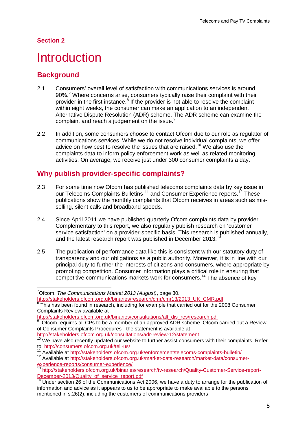## <span id="page-5-0"></span>**Introduction**

## **Background**

- 2.1 Consumers' overall level of satisfaction with communications services is around 90%.<sup>[7](#page-5-1)</sup> Where concerns arise, consumers typically raise their complaint with their provider in the first instance.<sup>[8](#page-5-2)</sup> If the provider is not able to resolve the complaint within eight weeks, the consumer can make an application to an independent Alternative Dispute Resolution (ADR) scheme. The ADR scheme can examine the complaint and reach a judgement on the issue.<sup>[9](#page-5-3)</sup>
- 2.2 In addition, some consumers choose to contact Ofcom due to our role as regulator of communications services. While we do not resolve individual complaints, we offer advice on how best to resolve the issues that are raised.<sup>[10](#page-5-4)</sup> We also use the complaints data to inform policy enforcement work as well as related monitoring activities. On average, we receive just under 300 consumer complaints a day.

## **Why publish provider-specific complaints?**

- 2.3 For some time now Ofcom has published telecoms complaints data by key issue in our Telecoms Complaints Bulletins <sup>[11](#page-5-5)</sup> and Consumer Experience reports.<sup>[12](#page-5-6)</sup> These publications show the monthly complaints that Ofcom receives in areas such as misselling, silent calls and broadband speeds.
- 2.4 Since April 2011 we have published quarterly Ofcom complaints data by provider. Complementary to this report, we also regularly publish research on 'customer service satisfaction' on a provider-specific basis. This research is published annually, and the latest research report was published in December 20[13](#page-5-7).<sup>1</sup>
- 2.5 The publication of performance data like this is consistent with our statutory duty of transparency and our obligations as a public authority. Moreover, it is in line with our principal duty to further the interests of citizens and consumers, where appropriate by promoting competition. Consumer information plays a critical role in ensuring that competitive communications markets work for consumers. [14](#page-5-8) The absence of key

<span id="page-5-2"></span><span id="page-5-1"></span>[http://stakeholders.ofcom.org.uk/binaries/research/cmr/cmr13/2013\\_UK\\_CMR.pdf](http://stakeholders.ofcom.org.uk/binaries/research/cmr/cmr13/2013_UK_CMR.pdf)<br>8 This has been founded This has been found in research, including for example that carried out for the 2008 Consumer Complaints Review available at

<http://stakeholders.ofcom.org.uk/consultations/adr-review-12/statement>

<sup>7</sup> Ofcom, *The Communications Market 2013 (August)*, page 30.  $\overline{a}$ 

[http://stakeholders.ofcom.org.uk/binaries/consultations/alt\\_dis\\_res/research.pdf](http://stakeholders.ofcom.org.uk/binaries/consultations/alt_dis_res/research.pdf)

<span id="page-5-3"></span><sup>9</sup> Ofcom requires all CPs to be a member of an approved ADR scheme. Ofcom carried out a Review of Consumer Complaints Procedures - the statement is available at

<span id="page-5-4"></span><sup>&</sup>lt;sup>10</sup> We have also recently updated our website to further assist consumers with their complaints. Refer to <http://consumers.ofcom.org.uk/tell-us/>

<sup>11</sup> Available at<http://stakeholders.ofcom.org.uk/enforcement/telecoms-complaints-bulletin/>

<span id="page-5-6"></span><span id="page-5-5"></span><sup>12&</sup>lt;br>
Available at http://stakeholders.ofcom.org.uk/market-data-research/market-data/consumer-<br>
13 http://stakeholders.ofcom.org.uk/market-data-research/market-data/consumer-<br>
13 http://stakeholders.ofcom

<span id="page-5-7"></span>[http://stakeholders.ofcom.org.uk/binaries/research/tv-research/Quality-Customer-Service-report-](http://stakeholders.ofcom.org.uk/binaries/research/tv-research/Quality-Customer-Service-report-December-2013/Quality_of_service_report.pdf)[December-2013/Quality\\_of\\_service\\_report.pdf](http://stakeholders.ofcom.org.uk/binaries/research/tv-research/Quality-Customer-Service-report-December-2013/Quality_of_service_report.pdf)<br>
<sup>14</sup> Under section 26 of the Communications Act 2006, we have a duty to arrange for the publication of

<span id="page-5-8"></span>information and advice as it appears to us to be appropriate to make available to the persons mentioned in s.26(2), including the customers of communications providers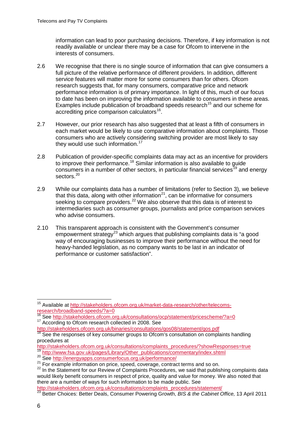information can lead to poor purchasing decisions. Therefore, if key information is not readily available or unclear there may be a case for Ofcom to intervene in the interests of consumers.

- 2.6 We recognise that there is no single source of information that can give consumers a full picture of the relative performance of different providers. In addition, different service features will matter more for some consumers than for others. Ofcom research suggests that, for many consumers, comparative price and network performance information is of primary importance. In light of this, much of our focus to date has been on improving the information available to consumers in these areas. Examples include publication of broadband speeds research<sup>[15](#page-6-0)</sup> and our scheme for accrediting price comparison calculators<sup>16</sup>.
- 2.7 However, our prior research has also suggested that at least a fifth of consumers in each market would be likely to use comparative information about complaints. Those consumers who are actively considering switching provider are most likely to say they would use such information. $17$
- 2.8 Publication of provider-specific complaints data may act as an incentive for providers to improve their performance.<sup>[18](#page-6-3)</sup> Similar information is also available to quide consumers in a number of other sectors, in particular financial services<sup>[19](#page-6-4)</sup> and energy sectors. [20](#page-6-5)
- 2.9 While our complaints data has a number of limitations (refer to Section 3), we believe that this data, along with other information<sup>[21](#page-6-6)</sup>, can be informative for consumers seeking to compare providers.<sup>[22](#page-6-7)</sup> We also observe that this data is of interest to intermediaries such as consumer groups, journalists and price comparison services who advise consumers.
- 2.10 This transparent approach is consistent with the Government's consumer empowerment strategy<sup>[23](#page-6-8)</sup> which argues that publishing complaints data is "a good way of encouraging businesses to improve their performance without the need for heavy-handed legislation, as no company wants to be last in an indicator of performance or customer satisfaction".

 $\overline{a}$ 

<sup>&</sup>lt;sup>15</sup> Available at [http://stakeholders.ofcom.org.uk/market-data-research/other/telecoms-](http://stakeholders.ofcom.org.uk/market-data-research/other/telecoms-research/broadband-speeds/?a=0)

<span id="page-6-1"></span><span id="page-6-0"></span>[research/broadband-speeds/?a=0](http://stakeholders.ofcom.org.uk/market-data-research/other/telecoms-research/broadband-speeds/?a=0)<br>
<sup>16</sup> See<http://stakeholders.ofcom.org.uk/consultations/ocp/statement/pricescheme/?a=0><br>
<sup>17</sup> According to Ofcom research collected in 2008. See

<span id="page-6-2"></span><http://stakeholders.ofcom.org.uk/binaries/consultations/qos08/statement/qos.pdf>

<span id="page-6-3"></span><sup>&</sup>lt;sup>18</sup> See the responses of key consumer groups to Ofcom's consultation on complaints handling procedures at

[http://stakeholders.ofcom.org.uk/consultations/complaints\\_procedures/?showResponses=true](http://stakeholders.ofcom.org.uk/consultations/complaints_procedures/?showResponses=true)<br><sup>19</sup> http://www.fsa.gov.uk/pages/Library/Other publications/commentary/index.shtml

<span id="page-6-5"></span><span id="page-6-4"></span><sup>20</sup> See<http://energyapps.consumerfocus.org.uk/performance/><br>21 For example information on price, speed, coverage, contract terms and so on.

<span id="page-6-7"></span><span id="page-6-6"></span><sup>&</sup>lt;sup>22</sup> In the Statement for our Review of Complaints Procedures, we said that publishing complaints data would likely benefit consumers in respect of price, quality and value for money. We also noted that there are a number of ways for such information to be made public. See there are a number of ways for such information to be made public. See

[http://stakeholders.ofcom.org.uk/consultations/complaints\\_procedures/statement/](http://stakeholders.ofcom.org.uk/consultations/complaints_procedures/statement/)

<span id="page-6-8"></span><sup>23</sup> Better Choices: Better Deals, Consumer Powering Growth, *BIS & the Cabinet Office,* 13 April 2011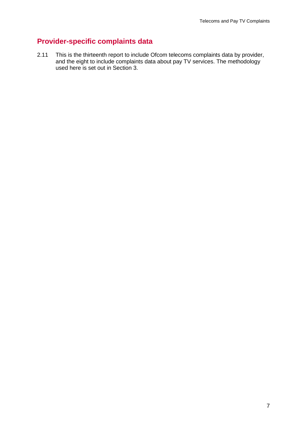## **Provider-specific complaints data**

2.11 This is the thirteenth report to include Ofcom telecoms complaints data by provider, and the eight to include complaints data about pay TV services. The methodology used here is set out in Section 3.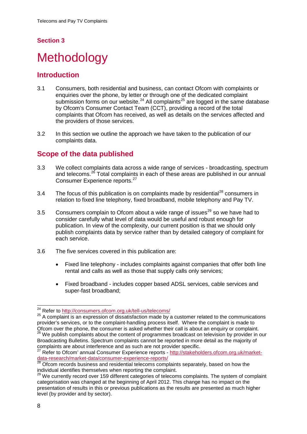# <span id="page-8-0"></span>**Methodology**

### **Introduction**

- 3.1 Consumers, both residential and business, can contact Ofcom with complaints or enquiries over the phone, by letter or through one of the dedicated complaint submission forms on our website.<sup>[24](#page-8-1)</sup> All complaints<sup>[25](#page-8-2)</sup> are logged in the same database by Ofcom's Consumer Contact Team (CCT), providing a record of the total complaints that Ofcom has received, as well as details on the services affected and the providers of those services.
- 3.2 In this section we outline the approach we have taken to the publication of our complaints data.

## **Scope of the data published**

- 3.3 We collect complaints data across a wide range of services broadcasting, spectrum and telecoms. [26](#page-8-3) Total complaints in each of these areas are published in our annual Consumer Experience reports.<sup>[27](#page-8-4)</sup>
- 3.4 The focus of this publication is on complaints made by residential<sup>[28](#page-8-5)</sup> consumers in relation to fixed line telephony, fixed broadband, mobile telephony and Pay TV.
- 3.5 Consumers complain to Ofcom about a wide range of issues<sup>[29](#page-8-6)</sup> so we have had to consider carefully what level of data would be useful and robust enough for publication. In view of the complexity, our current position is that we should only publish complaints data by service rather than by detailed category of complaint for each service.
- 3.6 The five services covered in this publication are:
	- Fixed line telephony includes complaints against companies that offer both line rental and calls as well as those that supply calls only services;
	- Fixed broadband includes copper based ADSL services, cable services and super-fast broadband;

<sup>&</sup>lt;sup>24</sup> Refer to <u>http://consumers.ofcom.org.uk/tell-us/telecoms/</u>  $\overline{a}$ 

<span id="page-8-2"></span><span id="page-8-1"></span><sup>&</sup>lt;sup>25</sup> A complaint is an expression of dissatisfaction made by a customer related to the communications provider's services, or to the complaint-handling process itself. Where the complaint is made to Ofcom over the phone, the consumer is asked whether their call is about an enquiry or complaint.

<span id="page-8-3"></span><sup>&</sup>lt;sup>26</sup> We publish complaints about the content of programmes broadcast on television by provider in our Broadcasting Bulletins. Spectrum complaints cannot be reported in more detail as the majority of complaints are about interference and as such are not provider specific.

<span id="page-8-4"></span><sup>&</sup>lt;sup>27</sup> Refer to Ofcom' annual Consumer Experience reports - [http://stakeholders.ofcom.org.uk/market](http://stakeholders.ofcom.org.uk/market-data-research/market-data/consumer-experience-reports/)[data-research/market-data/consumer-experience-reports/](http://stakeholders.ofcom.org.uk/market-data-research/market-data/consumer-experience-reports/)<br><sup>28</sup> Ofcom records business and residential telecoms complaints separately, based on how the

<span id="page-8-5"></span>individual identifies themselves when reporting the complaint.

<span id="page-8-6"></span><sup>&</sup>lt;sup>29</sup> We currently record over 159 different categories of telecoms complaints. The system of complaint categorisation was changed at the beginning of April 2012. This change has no impact on the presentation of results in this or previous publications as the results are presented as much higher level (by provider and by sector).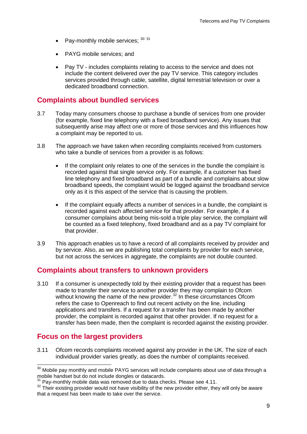- Pay-monthly mobile services; [30](#page-9-0) [31](#page-9-1)
- PAYG mobile services; and
- Pay TV includes complaints relating to access to the service and does not include the content delivered over the pay TV service. This category includes services provided through cable, satellite, digital terrestrial television or over a dedicated broadband connection.

#### **Complaints about bundled services**

- 3.7 Today many consumers choose to purchase a bundle of services from one provider (for example, fixed line telephony with a fixed broadband service). Any issues that subsequently arise may affect one or more of those services and this influences how a complaint may be reported to us.
- 3.8 The approach we have taken when recording complaints received from customers who take a bundle of services from a provider is as follows:
	- If the complaint only relates to one of the services in the bundle the complaint is recorded against that single service only. For example, if a customer has fixed line telephony and fixed broadband as part of a bundle and complains about slow broadband speeds, the complaint would be logged against the broadband service only as it is this aspect of the service that is causing the problem.
	- If the complaint equally affects a number of services in a bundle, the complaint is recorded against each affected service for that provider. For example, if a consumer complains about being mis-sold a triple play service, the complaint will be counted as a fixed telephony, fixed broadband and as a pay TV complaint for that provider.
- 3.9 This approach enables us to have a record of all complaints received by provider and by service. Also, as we are publishing total complaints by provider for each service, but not across the services in aggregate, the complaints are not double counted.

#### **Complaints about transfers to unknown providers**

3.10 If a consumer is unexpectedly told by their existing provider that a request has been made to transfer their service to another provider they may complain to Ofcom without knowing the name of the new provider.<sup>[32](#page-9-2)</sup> In these circumstances Ofcom refers the case to Openreach to find out recent activity on the line, including applications and transfers. If a request for a transfer has been made by another provider, the complaint is recorded against that other provider. If no request for a transfer has been made, then the complaint is recorded against the existing provider.

## **Focus on the largest providers**

3.11 Ofcom records complaints received against any provider in the UK. The size of each individual provider varies greatly, as does the number of complaints received.

<span id="page-9-0"></span> $30$  Mobile pay monthly and mobile PAYG services will include complaints about use of data through a mobile handset but do not include dongles or datacards.  $\overline{a}$ 

Pay-monthly mobile data was removed due to data checks. Please see 4.11.

<span id="page-9-2"></span><span id="page-9-1"></span><sup>&</sup>lt;sup>32</sup> Their existing provider would not have visibility of the new provider either, they will only be aware that a request has been made to take over the service.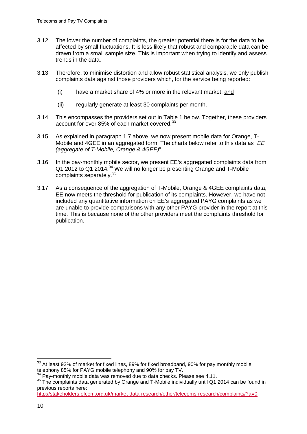- 3.12 The lower the number of complaints, the greater potential there is for the data to be affected by small fluctuations. It is less likely that robust and comparable data can be drawn from a small sample size. This is important when trying to identify and assess trends in the data.
- 3.13 Therefore, to minimise distortion and allow robust statistical analysis, we only publish complaints data against those providers which, for the service being reported:
	- (i) have a market share of 4% or more in the relevant market; and
	- (ii) regularly generate at least 30 complaints per month.
- 3.14 This encompasses the providers set out in Table 1 below. Together, these providers account for over 85% of each market covered.<sup>[33](#page-10-0)</sup>
- 3.15 As explained in paragraph 1.7 above, we now present mobile data for Orange, T-Mobile and 4GEE in an aggregated form. The charts below refer to this data as *"EE (aggregate of T-Mobile, Orange & 4GEE)*".
- 3.16 In the pay-monthly mobile sector, we present EE's aggregated complaints data from Q1 2012 to Q1 2014.<sup>[34](#page-10-1)</sup> We will no longer be presenting Orange and T-Mobile complaints separately.<sup>[35](#page-10-2)</sup>
- 3.17 As a consequence of the aggregation of T-Mobile, Orange & 4GEE complaints data, EE now meets the threshold for publication of its complaints. However, we have not included any quantitative information on EE's aggregated PAYG complaints as we are unable to provide comparisons with any other PAYG provider in the report at this time. This is because none of the other providers meet the complaints threshold for publication.

<http://stakeholders.ofcom.org.uk/market-data-research/other/telecoms-research/complaints/?a=0>

 $\overline{a}$ 

<span id="page-10-0"></span> $33$  At least 92% of market for fixed lines, 89% for fixed broadband, 90% for pay monthly mobile telephony 85% for PAYG mobile telephony and 90% for pay TV.<br><sup>34</sup> Pay-monthly mobile data was removed due to data checks. Please see 4.11.

<span id="page-10-2"></span><span id="page-10-1"></span><sup>35</sup> The complaints data generated by Orange and T-Mobile individually until Q1 2014 can be found in previous reports here: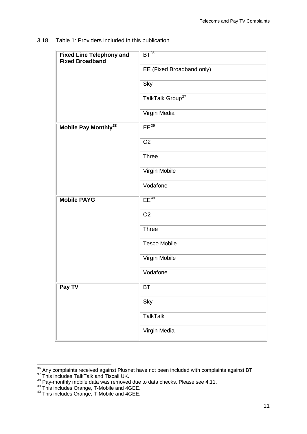3.18 Table 1: Providers included in this publication

| <b>Fixed Line Telephony and</b><br><b>Fixed Broadband</b> | $BT^{36}$                    |
|-----------------------------------------------------------|------------------------------|
|                                                           | EE (Fixed Broadband only)    |
|                                                           | Sky                          |
|                                                           | TalkTalk Group <sup>37</sup> |
|                                                           | Virgin Media                 |
| Mobile Pay Monthly <sup>38</sup>                          | $EE^{39}$                    |
|                                                           | O <sub>2</sub>               |
|                                                           | <b>Three</b>                 |
|                                                           | Virgin Mobile                |
|                                                           | Vodafone                     |
| <b>Mobile PAYG</b>                                        | $EE^{40}$                    |
|                                                           | O <sub>2</sub>               |
|                                                           | <b>Three</b>                 |
|                                                           | <b>Tesco Mobile</b>          |
|                                                           | Virgin Mobile                |
|                                                           | Vodafone                     |
| Pay TV                                                    | BT                           |
|                                                           | Sky                          |
|                                                           | <b>TalkTalk</b>              |
|                                                           | Virgin Media                 |

 $\overline{a}$ 

<span id="page-11-3"></span> $39$  This includes Orange, T-Mobile and 4GEE.

<span id="page-11-0"></span><sup>&</sup>lt;sup>36</sup> Any complaints received against Plusnet have not been included with complaints against BT<br><sup>37</sup> This includes TalkTalk and Tiscali UK.

<span id="page-11-1"></span>

<span id="page-11-2"></span> $38$  Pay-monthly mobile data was removed due to data checks. Please see 4.11.

<span id="page-11-4"></span><sup>&</sup>lt;sup>40</sup> This includes Orange, T-Mobile and 4GEE.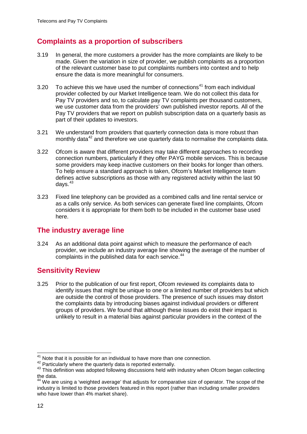## **Complaints as a proportion of subscribers**

- 3.19 In general, the more customers a provider has the more complaints are likely to be made. Given the variation in size of provider, we publish complaints as a proportion of the relevant customer base to put complaints numbers into context and to help ensure the data is more meaningful for consumers.
- 3.20 To achieve this we have used the number of connections<sup>[41](#page-12-0)</sup> from each individual provider collected by our Market Intelligence team. We do not collect this data for Pay TV providers and so, to calculate pay TV complaints per thousand customers, we use customer data from the providers' own published investor reports. All of the Pay TV providers that we report on publish subscription data on a quarterly basis as part of their updates to investors.
- 3.21 We understand from providers that quarterly connection data is more robust than monthly data $42$  and therefore we use quarterly data to normalise the complaints data.
- 3.22 Ofcom is aware that different providers may take different approaches to recording connection numbers, particularly if they offer PAYG mobile services. This is because some providers may keep inactive customers on their books for longer than others. To help ensure a standard approach is taken, Ofcom's Market Intelligence team defines active subscriptions as those with any registered activity within the last 90 days. [43](#page-12-2)
- 3.23 Fixed line telephony can be provided as a combined calls and line rental service or as a calls only service. As both services can generate fixed line complaints, Ofcom considers it is appropriate for them both to be included in the customer base used here.

#### **The industry average line**

3.24 As an additional data point against which to measure the performance of each provider, we include an industry average line showing the average of the number of complaints in the published data for each service.<sup>[44](#page-12-3)</sup>

## **Sensitivity Review**

3.25 Prior to the publication of our first report, Ofcom reviewed its complaints data to identify issues that might be unique to one or a limited number of providers but which are outside the control of those providers. The presence of such issues may distort the complaints data by introducing biases against individual providers or different groups of providers. We found that although these issues do exist their impact is unlikely to result in a material bias against particular providers in the context of the

 $^{41}_{1}$  Note that it is possible for an individual to have more than one connection.  $\overline{\phantom{a}}$ 

<span id="page-12-2"></span><span id="page-12-1"></span><span id="page-12-0"></span><sup>42</sup> Particularly where the quarterly data is reported externally.<br><sup>43</sup> This definition was adopted following discussions held with industry when Ofcom began collecting the data.

<span id="page-12-3"></span><sup>44</sup> We are using a 'weighted average' that adjusts for comparative size of operator. The scope of the industry is limited to those providers featured in this report (rather than including smaller providers who have lower than 4% market share).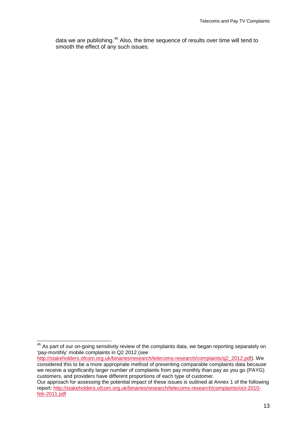data we are publishing.<sup>[45](#page-13-0)</sup> Also, the time sequence of results over time will tend to smooth the effect of any such issues.

<span id="page-13-0"></span><sup>&</sup>lt;sup>45</sup> As part of our on-going sensitivity review of the complaints data, we began reporting separately on 'pay-monthly' mobile complaints in Q2 2012 (see  $\overline{a}$ 

[http://stakeholders.ofcom.org.uk/binaries/research/telecoms-research/complaints/q2\\_2012.pdf\)](http://stakeholders.ofcom.org.uk/binaries/research/telecoms-research/complaints/q2_2012.pdf). We considered this to be a more appropriate method of presenting comparable complaints data because we receive a significantly larger number of complaints from pay monthly than pay as you go (PAYG) customers, and providers have different proportions of each type of customer.

Our approach for assessing the potential impact of these issues is outlined at Annex 1 of the following report: [http://stakeholders.ofcom.org.uk/binaries/research/telecoms-research/complaints/oct-2010](http://stakeholders.ofcom.org.uk/binaries/research/telecoms-research/complaints/oct-2010-feb-2011.pdf) [feb-2011.pdf](http://stakeholders.ofcom.org.uk/binaries/research/telecoms-research/complaints/oct-2010-feb-2011.pdf)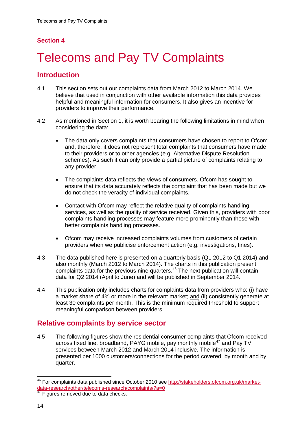# <span id="page-14-0"></span>**Telecoms and Pay TV Complaints**

## **Introduction**

- 4.1 This section sets out our complaints data from March 2012 to March 2014. We believe that used in conjunction with other available information this data provides helpful and meaningful information for consumers. It also gives an incentive for providers to improve their performance.
- 4.2 As mentioned in Section 1, it is worth bearing the following limitations in mind when considering the data:
	- The data only covers complaints that consumers have chosen to report to Ofcom and, therefore, it does not represent total complaints that consumers have made to their providers or to other agencies (e.g. Alternative Dispute Resolution schemes). As such it can only provide a partial picture of complaints relating to any provider.
	- The complaints data reflects the views of consumers. Ofcom has sought to ensure that its data accurately reflects the complaint that has been made but we do not check the veracity of individual complaints.
	- Contact with Ofcom may reflect the relative quality of complaints handling services, as well as the quality of service received. Given this, providers with poor complaints handling processes may feature more prominently than those with better complaints handling processes.
	- Ofcom may receive increased complaints volumes from customers of certain providers when we publicise enforcement action (e.g. investigations, fines).
- 4.3 The data published here is presented on a quarterly basis (Q1 2012 to Q1 2014) and also monthly (March 2012 to March 2014). The charts in this publication present complaints data for the previous nine quarters. [46](#page-14-1) The next publication will contain data for Q2 2014 (April to June) and will be published in September 2014.
- 4.4 This publication only includes charts for complaints data from providers who: (i) have a market share of 4% or more in the relevant market; and (ii) consistently generate at least 30 complaints per month. This is the minimum required threshold to support meaningful comparison between providers.

## **Relative complaints by service sector**

4.5 The following figures show the residential consumer complaints that Ofcom received across fixed line, broadband, PAYG mobile, pay monthly mobile<sup>[47](#page-14-2)</sup> and Pay TV services between March 2012 and March 2014 inclusive. The information is presented per 1000 customers/connections for the period covered, by month and by quarter.

<span id="page-14-1"></span><sup>&</sup>lt;sup>46</sup> For complaints data published since October 2010 see [http://stakeholders.ofcom.org.uk/market](http://stakeholders.ofcom.org.uk/market-data-research/other/telecoms-research/complaints/?a=0)data-research/other/telecoms-research/complaints/?a=0<br><sup>47</sup> Figures removed due to data checks.  $\overline{a}$ 

<span id="page-14-2"></span>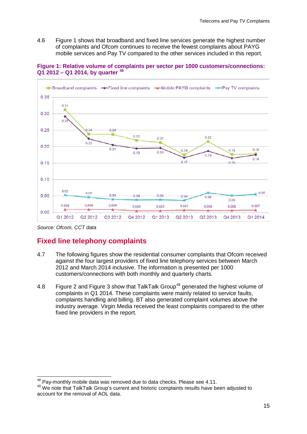4.6 Figure 1 shows that broadband and fixed line services generate the highest number of complaints and Ofcom continues to receive the fewest complaints about PAYG mobile services and Pay TV compared to the other services included in this report.





*Source: Ofcom, CCT data*

## **Fixed line telephony complaints**

- 4.7 The following figures show the residential consumer complaints that Ofcom received against the four largest providers of fixed line telephony services between March 2012 and March 2014 inclusive. The information is presented per 1000 customers/connections with both monthly and quarterly charts.
- 4.8 Figure 2 and Figure 3 show that TalkTalk Group<sup>[49](#page-15-1)</sup> generated the highest volume of complaints in Q1 2014. These complaints were mainly related to service faults, complaints handling and billing. BT also generated complaint volumes above the industry average. Virgin Media received the least complaints compared to the other fixed line providers in the report.

 $48$  Pay-monthly mobile data was removed due to data checks. Please see 4.11.  $\overline{a}$ 

<span id="page-15-1"></span><span id="page-15-0"></span><sup>49</sup> We note that TalkTalk Group's current and historic complaints results have been adjusted to account for the removal of AOL data.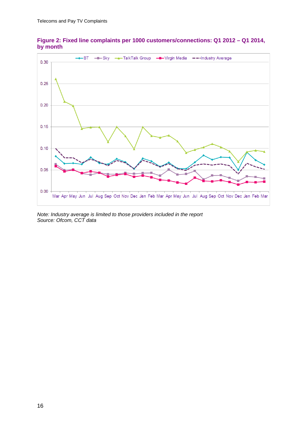

**Figure 2: Fixed line complaints per 1000 customers/connections: Q1 2012 – Q1 2014, by month**

*Note: Industry average is limited to those providers included in the report Source: Ofcom, CCT data*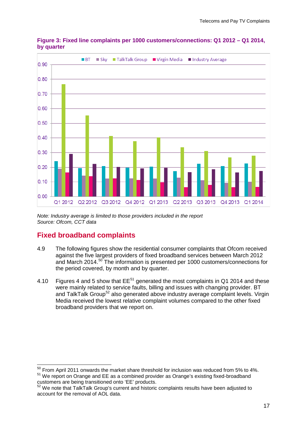

**Figure 3: Fixed line complaints per 1000 customers/connections: Q1 2012 – Q1 2014, by quarter**

*Note: Industry average is limited to those providers included in the report Source: Ofcom, CCT data*

## **Fixed broadband complaints**

- 4.9 The following figures show the residential consumer complaints that Ofcom received against the five largest providers of fixed broadband services between March 2012 and March 2014. [50](#page-17-0) The information is presented per 1000 customers/connections for the period covered, by month and by quarter.
- 4.10 Figures 4 and 5 show that  $EE^{51}$  $EE^{51}$  $EE^{51}$  generated the most complaints in Q1 2014 and these were mainly related to service faults, billing and issues with changing provider. BT and TalkTalk Group<sup>[52](#page-17-2)</sup> also generated above industry average complaint levels. Virgin Media received the lowest relative complaint volumes compared to the other fixed broadband providers that we report on.

<span id="page-17-0"></span> $50$  From April 2011 onwards the market share threshold for inclusion was reduced from 5% to 4%. <sup>51</sup> We report on Orange and EE as a combined provider as Orange's existing fixed-broadband customers are being transitioned onto 'EE' products.  $\overline{a}$ 

<span id="page-17-2"></span><span id="page-17-1"></span><sup>52</sup> We note that TalkTalk Group's current and historic complaints results have been adjusted to account for the removal of AOL data.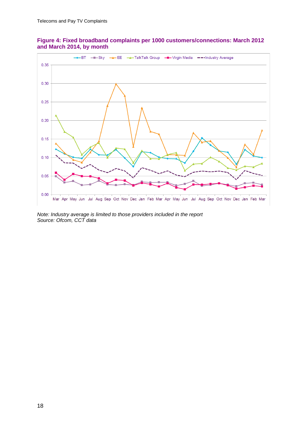

#### **Figure 4: Fixed broadband complaints per 1000 customers/connections: March 2012 and March 2014, by month**

*Note: Industry average is limited to those providers included in the report Source: Ofcom, CCT data*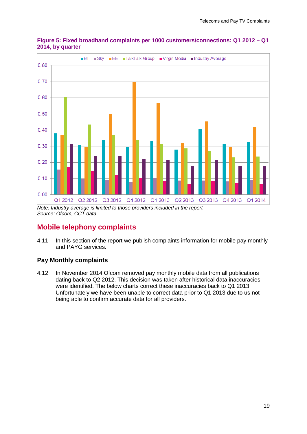

**Figure 5: Fixed broadband complaints per 1000 customers/connections: Q1 2012 – Q1 2014, by quarter**

*Source: Ofcom, CCT data*

## **Mobile telephony complaints**

4.11 In this section of the report we publish complaints information for mobile pay monthly and PAYG services.

#### **Pay Monthly complaints**

4.12 In November 2014 Ofcom removed pay monthly mobile data from all publications dating back to Q2 2012. This decision was taken after historical data inaccuracies were identified. The below charts correct these inaccuracies back to Q1 2013. Unfortunately we have been unable to correct data prior to Q1 2013 due to us not being able to confirm accurate data for all providers.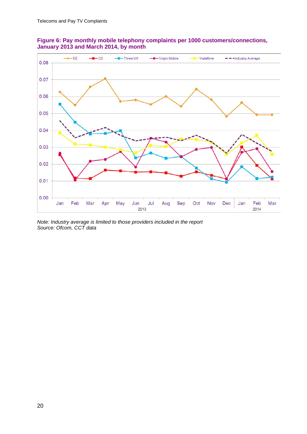



*Note: Industry average is limited to those providers included in the report Source: Ofcom, CCT data*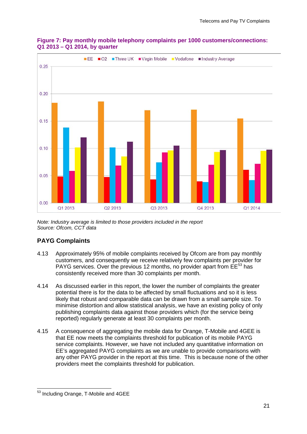

#### **Figure 7: Pay monthly mobile telephony complaints per 1000 customers/connections: Q1 2013 – Q1 2014, by quarter**

*Note: Industry average is limited to those providers included in the report Source: Ofcom, CCT data*

#### **PAYG Complaints**

- 4.13 Approximately 95% of mobile complaints received by Ofcom are from pay monthly customers, and consequently we receive relatively few complaints per provider for PAYG services. Over the previous 12 months, no provider apart from EE<sup>[53](#page-21-0)</sup> has consistently received more than 30 complaints per month.
- 4.14 As discussed earlier in this report, the lower the number of complaints the greater potential there is for the data to be affected by small fluctuations and so it is less likely that robust and comparable data can be drawn from a small sample size. To minimise distortion and allow statistical analysis, we have an existing policy of only publishing complaints data against those providers which (for the service being reported) regularly generate at least 30 complaints per month.
- 4.15 A consequence of aggregating the mobile data for Orange, T-Mobile and 4GEE is that EE now meets the complaints threshold for publication of its mobile PAYG service complaints. However, we have not included any quantitative information on EE's aggregated PAYG complaints as we are unable to provide comparisons with any other PAYG provider in the report at this time. This is because none of the other providers meet the complaints threshold for publication.

<span id="page-21-0"></span><sup>&</sup>lt;sup>53</sup> Including Orange, T-Mobile and 4GEE  $\overline{a}$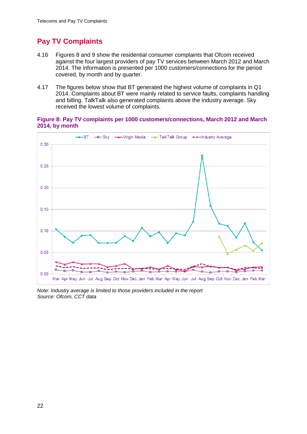## **Pay TV Complaints**

- 4.16 Figures 8 and 9 show the residential consumer complaints that Ofcom received against the four largest providers of pay TV services between March 2012 and March 2014. The information is presented per 1000 customers/connections for the period covered, by month and by quarter.
- 4.17 The figures below show that BT generated the highest volume of complaints in Q1 2014. Complaints about BT were mainly related to service faults, complaints handling and billing. TalkTalk also generated complaints above the industry average. Sky received the lowest volume of complaints.

#### **Figure 8: Pay TV complaints per 1000 customers/connections, March 2012 and March 2014, by month**



*Note: Industry average is limited to those providers included in the report Source: Ofcom, CCT data*